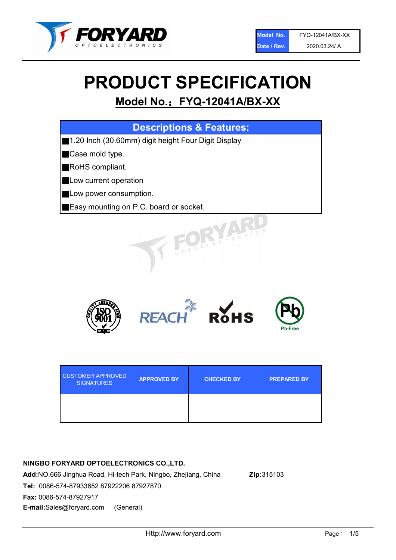

# PRODUCT SPECIFICATION

# Model No.: FYQ-12041A/BX-XX

| <b>Descriptions &amp; Features:</b>                 |  |  |  |
|-----------------------------------------------------|--|--|--|
| 1.20 Inch (30.60mm) digit height Four Digit Display |  |  |  |
| Case mold type.                                     |  |  |  |
| RoHS compliant.                                     |  |  |  |
| Low current operation                               |  |  |  |
| Low power consumption.                              |  |  |  |
| Easy mounting on P.C. board or socket.              |  |  |  |
| TOELECTRONIC.                                       |  |  |  |



| <b>CUSTOMER APPROVED</b><br><b>SIGNATURES</b> | <b>APPROVED BY</b> | <b>CHECKED BY</b> | <b>PREPARED BY</b> |
|-----------------------------------------------|--------------------|-------------------|--------------------|
|                                               |                    |                   |                    |

# NINGBO FORYARD OPTOELECTRONICS CO.,LTD.

Add:NO.666 Jinghua Road, Hi-tech Park, Ningbo, Zhejiang, China Zip:315103 Tel: 0086-574-87933652 87922206 87927870 Fax: 0086-574-87927917 E-mail:Sales@foryard.com (General)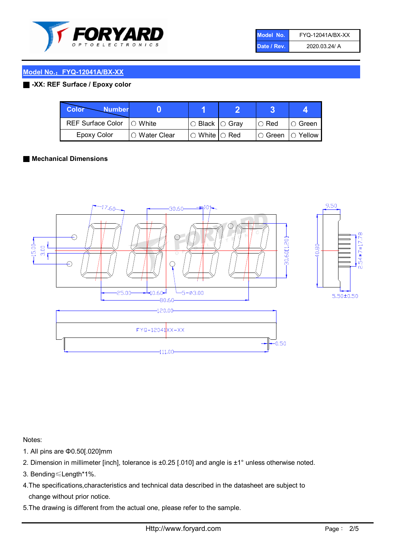

| Model No.   | FYQ-12041A/BX-XX |
|-------------|------------------|
| Date / Rev. | 2020.03.24/ A    |

### Model No.: FYQ-12041A/BX-XX

### ■ -XX: REF Surface / Epoxy color

| Color<br><b>Number</b>      |                        |                           |             |                |
|-----------------------------|------------------------|---------------------------|-------------|----------------|
| REF Surface Color   O White |                        | I○ Black  ○ Gray          | $\circ$ Red | $\circ$ Green  |
| Epoxy Color                 | $\bigcirc$ Water Clear | $\circ$ White $\circ$ Red | IO Green    | $\circ$ Yellow |

#### ■ Mechanical Dimensions



Notes:

- 1. All pins are Φ0.50[.020]mm
- 2. Dimension in millimeter [inch], tolerance is ±0.25 [.010] and angle is ±1° unless otherwise noted.
- 3. Bending≤Length\*1%.
- 4.The specifications,characteristics and technical data described in the datasheet are subject to change without prior notice.
- 5.The drawing is different from the actual one, please refer to the sample.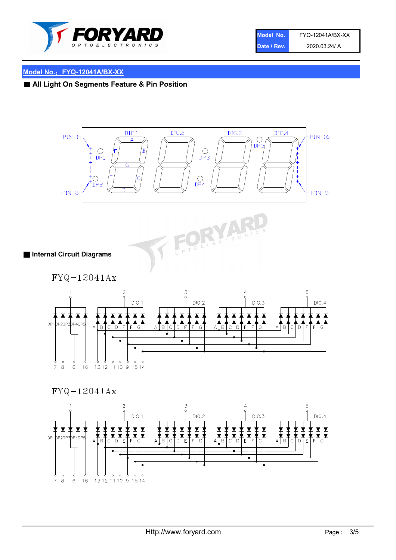

| Model No.   | FYQ-12041A/BX-XX |
|-------------|------------------|
| Date / Rev. | 2020.03.24/ A    |

# Model No.: FYQ-12041A/BX-XX

■ All Light On Segments Feature & Pin Position





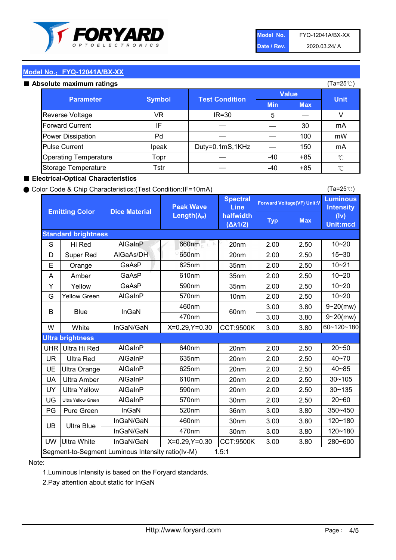

| Model No.   | FYQ-12041A/BX-XX |
|-------------|------------------|
| Date / Rev. | 2020.03.24/ A    |

(Ta=25℃)

# Model No.: FYQ-12041A/BX-XX

|  | Absolute maximum ratings |  |
|--|--------------------------|--|
|  |                          |  |

| <b>psolute maximum ratings</b> |               |                       |              |            | (Ta=25℃)     |
|--------------------------------|---------------|-----------------------|--------------|------------|--------------|
|                                |               |                       | <b>Value</b> |            |              |
| <b>Parameter</b>               | <b>Symbol</b> | <b>Test Condition</b> | <b>Min</b>   | <b>Max</b> | <b>Unit</b>  |
| Reverse Voltage                | VR            | $IR = 30$             | 5            |            | V            |
| <b>Forward Current</b>         | IF            |                       |              | 30         | mA           |
| Power Dissipation              | Pd            |                       |              | 100        | mW           |
| <b>Pulse Current</b>           | Ipeak         | Duty=0.1mS,1KHz       |              | 150        | mA           |
| <b>Operating Temperature</b>   | Topr          |                       | $-40$        | $+85$      | $^{\circ}$ C |
| Storage Temperature            | Tstr          |                       | -40          | $+85$      | $^{\circ}$ C |

#### ■ Electrical-Optical Characteristics

#### ● Color Code & Chip Characteristics:(Test Condition:IF=10mA)

Typ Max S | Hi $\textsf{Red}$  | AlGaInP | 660nm LE 20nm | 2.00 | 2.50 D | Super Red | AIGaAs/DH | 650nm | 20nm | 2.00 | 2.50 E | Orange | GaAsP | 625nm | 35nm | 2.00 | 2.50 A | Amber | GaAsP | 610nm | 35nm | 2.00 | 2.50 Y | Yellow | GaAsP | 590nm | 35nm | 2.00 | 2.50 G Yellow Green AIGaInP | 570nm | 10nm | 2.00 | 2.50 3.00 3.80 3.00 3.80 W | White | InGaN/GaN | X=0.29,Y=0.30 |CCT:9500K| 3.00 | 3.80 UHR Ultra Hi Red | AlGaInP | 640nm | 20nm | 2.00 | 2.50 UR | Ultra Red | AlGaInP | 635nm | 20nm | 2.00 | 2.50 UE Ultra Orange | AIGaInP | 625nm | 20nm | 2.00 | 2.50 UA Ultra Amber | AIGaInP | 610nm | 20nm | 2.00 | 2.50  $UV$  Ultra Yellow  $\vert$  AlGaInP  $\vert$  590nm  $\vert$  20nm  $\vert$  2.00  $\vert$  2.50  $\text{UG}$  Ultra Yellow Green | AIGaInP | 570nm | 30nm | 2.00 | 2.50 PG Pure Green | InGaN | 520nm | 36nm | 3.00 | 3.80 30nm 3.00 3.80 30nm 3.00 3.80 UW |Ultra White | InGaN/GaN | X=0.29,Y=0.30 |CCT:9500K| 3.00 | 3.80 10~20 Standard brightness Forward Voltage(VF) Unit:V 15~30 10~20 10~20 625nm GaAsP 590nm **Emitting Color Dice Material** 10~21 610nm Luminous **Intensity** (Iv) Unit:mcd AlGainP 660nm GaAsP GaAsP AlGaAs/DH **Spectral** Line halfwidth (∆λ1/2) Peak Wave Length $(\lambda_{\rm P})$ UB 460nm 635nm AlGaInP AlGaInP AlGaInP InGaN/GaN AlGaInP | 570nm | 10nm | 2.00 | 2.50 | 10~20 30~105 30~135 460nm 520nm Ultra brightness **AlGaInP** AlGaInP 60nm AlGaInP 640nm Segment-to-Segment Luminous Intensity ratio(Iv-M) 1.5:1 610nm 9~20(mw) 350~450 470nm 120~180 120~180 Ultra Blue InGaN/GaN InGaN/GaN 9~20(mw) 20~50 280~600 570nm | 30nm | 2.00 | 2.50 | 20~60 470nm 590nm InGaN/GaN B Blue I InGaN 40~85 60~120~180 40~70

#### Note:

1.Luminous Intensity is based on the Foryard standards.

2.Pay attention about static for InGaN